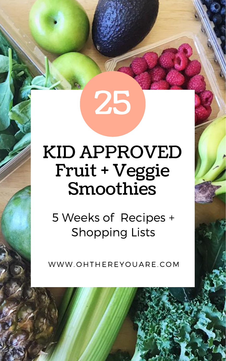25

## KID APPROVED Fruit + Veggie Smoothies

## 5 Weeks of Recipes + Shopping Lists

### WWW. O HTHE R EY O UA R E. C OM

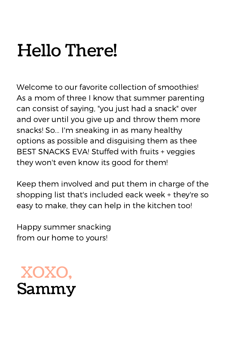# Hello There!

Welcome to our favorite collection of smoothies! As a mom of three I know that summer parenting can consist of saying, "you just had a snack" over and over until you give up and throw them more snacks! So... I'm sneaking in as many healthy options as possible and disguising them as thee BEST SNACKS EVA! Stuffed with fruits + veggies they won't even know its good for them!

Keep them involved and put them in charge of the shopping list that's included eack week + they're so easy to make, they can help in the kitchen too!

Happy summer snacking from our home to yours!

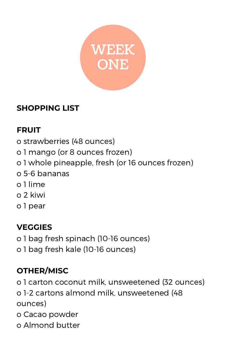

## **FRUIT**

- o strawberries (48 ounces)
- o 1 mango (or 8 ounces frozen)
- o 1 whole pineapple, fresh (or 16 ounces frozen)
- o 5-6 bananas
- o 1 lime
- 

o 2 kiwi o 1 pear

## **VEGGIES**

o 1 bag fresh spinach (10-16 ounces) o 1 bag fresh kale (10-16 ounces)

## **OTHER/MISC**

o 1 carton coconut milk, unsweetened (32 ounces) o 1-2 cartons almond milk, unsweetened (48 ounces)

- o Cacao powder
- o Almond butter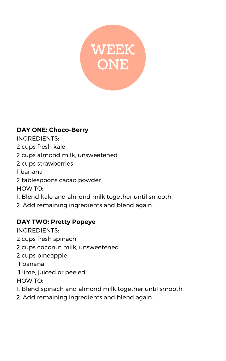

#### **DAY ONE: Choco-Berry**

INGREDIENTS:

2 cups fresh kale

2 cups almond milk, unsweetened

2 cups strawberries

1 banana

2 tablespoons cacao powder

HOW TO:

1. Blend kale and almond milk together until smooth.

2. Add remaining ingredients and blend again.

### **DAY TWO: Pretty Popeye**

INGREDIENTS:

- 2 cups fresh spinach
- 2 cups coconut milk, unsweetened
- 2 cups pineapple
- 1 banana
- 1 lime, juiced or peeled

HOW TO;

- 1. Blend spinach and almond milk together until smooth.
- 2. Add remaining ingredients and blend again.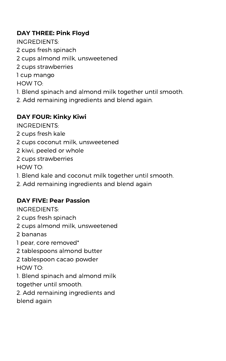### **DAY THREE: Pink Floyd**

INGREDIENTS:

- 2 cups fresh spinach
- Westered  $C<sub>CD</sub>$ 2 cups almond milk, unsweetened
- 2 cups strawberries

1 cup mango

HOW TO:

- 1. Blend spinach and almond milk together until smooth.
- 2. Add remaining ingredients and blend again.

### **DAY FOUR: Kinky Kiwi**

INGREDIENTS:

- 2 cups fresh kale
- 2 cups coconut milk, unsweetened
- 2 kiwi, peeled or whole
- 2 cups strawberries

#### HOW TO:

- 1. Blend kale and coconut milk together until smooth.
- 2. Add remaining ingredients and blend again

#### **DAY FIVE: Pear Passion**

INGREDIENTS:

- 2 cups fresh spinach
- 2 cups almond milk, unsweetened
- 2 bananas
- 1 pear, core removed\*
- 2 tablespoons almond butter
- 2 tablespoon cacao powder HOW TO:
- 1. Blend spinach and almond milk together until smooth.
- 2. Add remaining ingredients and blend again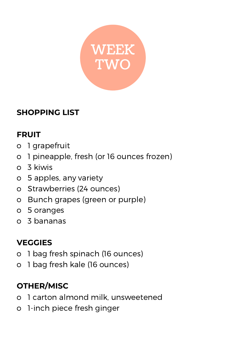

## **FRUIT**

- o 1 grapefruit
- o 1 pineapple, fresh (or 16 ounces frozen)
- o 3 kiwis
- o 5 apples, any variety
- o Strawberries (24 ounces)
- o Bunch grapes (green or purple)
- o 5 oranges
- o 3 bananas

## **VEGGIES**

- o 1 bag fresh spinach (16 ounces)
- o 1 bag fresh kale (16 ounces)

## **OTHER/MISC**

- o 1 carton almond milk, unsweetened
- o 1-inch piece fresh ginger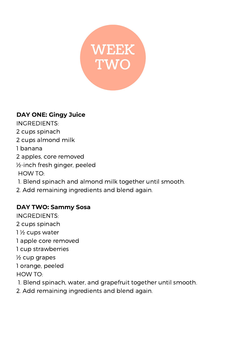

### **DAY ONE: Gingy Juice**

INGREDIENTS:

- 2 cups spinach
- 2 cups almond milk
- 1 banana
- 2 apples, core removed
- ½-inch fresh ginger, peeled
- HOW TO:
- 1. Blend spinach and almond milk together until smooth.
- 2. Add remaining ingredients and blend again.

#### **DAY TWO: Sammy Sosa**

INGREDIENTS:

2 cups spinach

1 ½ cups water

1 apple core removed

1 cup strawberries

½ cup grapes

1 orange, peeled

HOW TO:

1. Blend spinach, water, and grapefruit together until smooth.

2. Add remaining ingredients and blend again.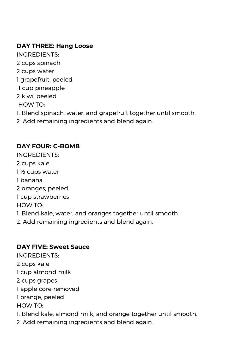## WEEKS IN THE CONTROL OF THE CONTROL OF THE CONTROL OF THE CONTROL OF THE CONTROL OF THE CONTROL OF THE CONTROL OF THE CONTROL OF THE CONTROL OF THE CONTROL OF THE CONTROL OF THE CONTROL OF THE CONTROL OF THE CONTROL OF THE **DAY THREE: Hang Loose**

- INGREDIENTS:
- 2 cups spinach
- 2 cups water
- 1 grapefruit, peeled
- 1 cup pineapple
- 2 kiwi, peeled
- HOW TO:
- 1. Blend spinach, water, and grapefruit together until smooth.
- 2. Add remaining ingredients and blend again.

#### **DAY FOUR: C-BOMB**

- INGREDIENTS:
- 2 cups kale
- 1 ½ cups water
- 1 banana
- 2 oranges, peeled

1 cup strawberries

HOW TO:

1. Blend kale, water, and oranges together until smooth.

2. Add remaining ingredients and blend again.

### **DAY FIVE: Sweet Sauce**

INGREDIENTS:

2 cups kale

1 cup almond milk

- 2 cups grapes
- 1 apple core removed

1 orange, peeled

HOW TO:

- 1. Blend kale, almond milk, and orange together until smooth.
- 2. Add remaining ingredients and blend again.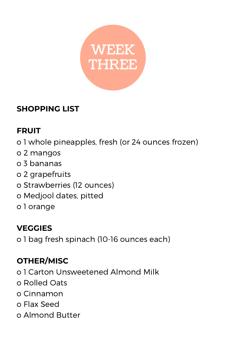

## **FRUIT**

- o 1 whole pineapples, fresh (or 24 ounces frozen)
- o 2 mangos
- o 3 bananas
- o 2 grapefruits
- o Strawberries (12 ounces)
- o Medjool dates, pitted o 1 orange

## **VEGGIES**

o 1 bag fresh spinach (10-16 ounces each)

## **OTHER/MISC**

- o 1 Carton Unsweetened Almond Milk
- o Rolled Oats
- o Cinnamon
- o Flax Seed
- o Almond Butter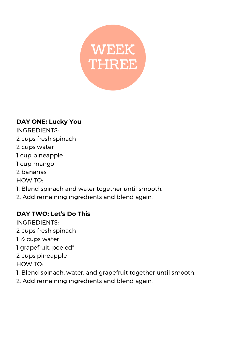![](_page_9_Picture_0.jpeg)

#### **DAY ONE: Lucky You**

INGREDIENTS:

- 2 cups fresh spinach
- 2 cups water
- 1 cup pineapple
- 1 cup mango
- 2 bananas
- HOW TO:
- 1. Blend spinach and water together until smooth.

2. Add remaining ingredients and blend again.

#### **DAY TWO: Let's Do This**

INGREDIENTS:

- 2 cups fresh spinach
- 1 ½ cups water
- 1 grapefruit, peeled\*
- 2 cups pineapple

HOW TO:

- 1. Blend spinach, water, and grapefruit together until smooth.
- 2. Add remaining ingredients and blend again.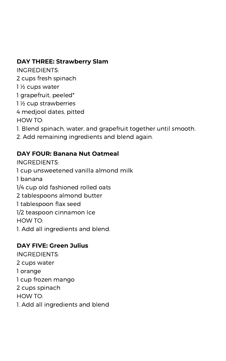## **DAY THREE: Strawberry Slam**<br>INGREDIENTS:

INGREDIENTS:

2 cups fresh spinach

1 ½ cups water

1 grapefruit, peeled\*

1 ½ cup strawberries

4 medjool dates, pitted

HOW TO:

1. Blend spinach, water, and grapefruit together until smooth.

2. Add remaining ingredients and blend again.

#### **DAY FOUR: Banana Nut Oatmeal**

INGREDIENTS:

1 cup unsweetened vanilla almond milk

1 banana

1/4 cup old fashioned rolled oats

2 tablespoons almond butter

- 1 tablespoon flax seed
- 1/2 teaspoon cinnamon Ice HOW TO:
- 1. Add all ingredients and blend.

#### **DAY FIVE: Green Julius**

INGREDIENTS:

2 cups water

1 orange

1 cup frozen mango

2 cups spinach

HOW TO:

1. Add all ingredients and blend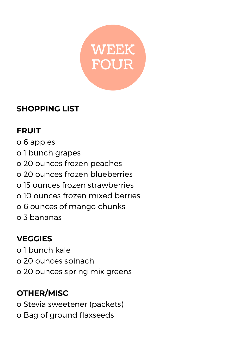![](_page_11_Picture_0.jpeg)

## **FRUIT**

- o 6 apples
- o 1 bunch grapes
- o 20 ounces frozen peaches
- o 20 ounces frozen blueberries
- o 15 ounces frozen strawberries

o 10 ounces frozen mixed berries o 6 ounces of mango chunks o 3 bananas

## **VEGGIES**

o 1 bunch kale

- o 20 ounces spinach
- o 20 ounces spring mix greens

## **OTHER/MISC**

o Stevia sweetener (packets)

o Bag of ground flaxseeds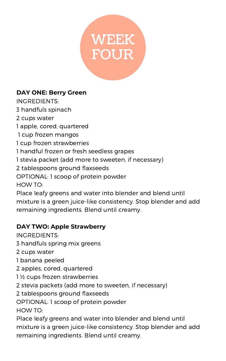![](_page_12_Picture_0.jpeg)

#### **DAY ONE: Berry Green**

INGREDIENTS:

3 handfuls spinach

2 cups water

1 apple, cored, quartered

1 cup frozen mangos

1 cup frozen strawberries

1 handful frozen or fresh seedless grapes

1 stevia packet (add more to sweeten, if necessary)

2 tablespoons ground flaxseeds

OPTIONAL: 1 scoop of protein powder

HOW TO:

Place leafy greens and water into blender and blend until mixture is a green juice-like consistency. Stop blender and add remaining ingredients. Blend until creamy.

#### **DAY TWO: Apple Strawberry**

INGREDIENTS:

3 handfuls spring mix greens

2 cups water

1 banana peeled

2 apples, cored, quartered

1 ½ cups frozen strawberries

2 stevia packets (add more to sweeten, if necessary)

2 tablespoons ground flaxseeds

OPTIONAL: 1 scoop of protein powder

HOW TO:

Place leafy greens and water into blender and blend until

mixture is a green juice-like consistency. Stop blender and add remaining ingredients. Blend until creamy.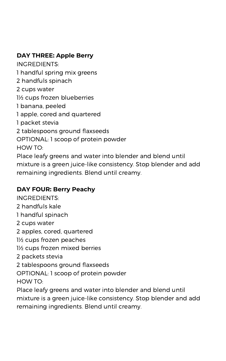#### WEEK **DAY THREE: Apple Berry**

INGREDIENTS:

1 handful spring mix greens

2 handfuls spinach

2 cups water

1½ cups frozen blueberries

1 banana, peeled

1 apple, cored and quartered

1 packet stevia

2 tablespoons ground flaxseeds

OPTIONAL: 1 scoop of protein powder

HOW TO:

Place leafy greens and water into blender and blend until mixture is a green juice-like consistency. Stop blender and add remaining ingredients. Blend until creamy.

#### **DAY FOUR: Berry Peachy**

INGREDIENTS:

2 handfuls kale

1 handful spinach

2 cups water

2 apples, cored, quartered

1½ cups frozen peaches

1½ cups frozen mixed berries

2 packets stevia

2 tablespoons ground flaxseeds

OPTIONAL: 1 scoop of protein powder

HOW TO:

Place leafy greens and water into blender and blend until mixture is a green juice-like consistency. Stop blender and add remaining ingredients. Blend until creamy.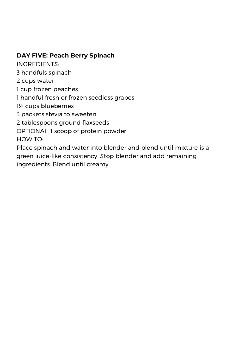## WEEK **DAY FIVE: Peach Berry Spinach**

INGREDIENTS:

3 handfuls spinach

2 cups water

1 cup frozen peaches

1 handful fresh or frozen seedless grapes

1½ cups blueberries

3 packets stevia to sweeten

2 tablespoons ground flaxseeds

OPTIONAL: 1 scoop of protein powder HOW TO:

Place spinach and water into blender and blend until mixture is a green juice-like consistency. Stop blender and add remaining ingredients. Blend until creamy.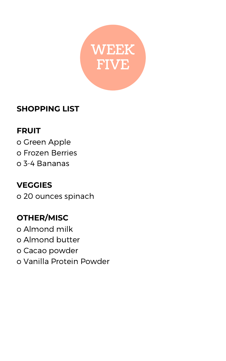![](_page_15_Picture_0.jpeg)

## **FRUIT**

- o Green Apple
- o Frozen Berries
- o 3-4 Bananas

![](_page_15_Picture_6.jpeg)

o 20 ounces spinach

## **OTHER/MISC**

o Almond milk o Almond butter

o Cacao powder

o Vanilla Protein Powder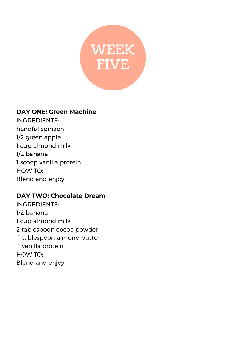![](_page_16_Picture_0.jpeg)

#### **DAY ONE: Green Machine**

INGREDIENTS: handful spinach 1/2 green apple 1 cup almond milk 1/2 banana 1 scoop vanilla protein HOW TO: Blend and enjoy

#### **DAY TWO: Chocolate Dream**

INGREDIENTS: 1/2 banana 1 cup almond milk 2 tablespoon cocoa powder 1 tablespoon almond butter 1 vanilla protein HOW TO: Blend and enjoy